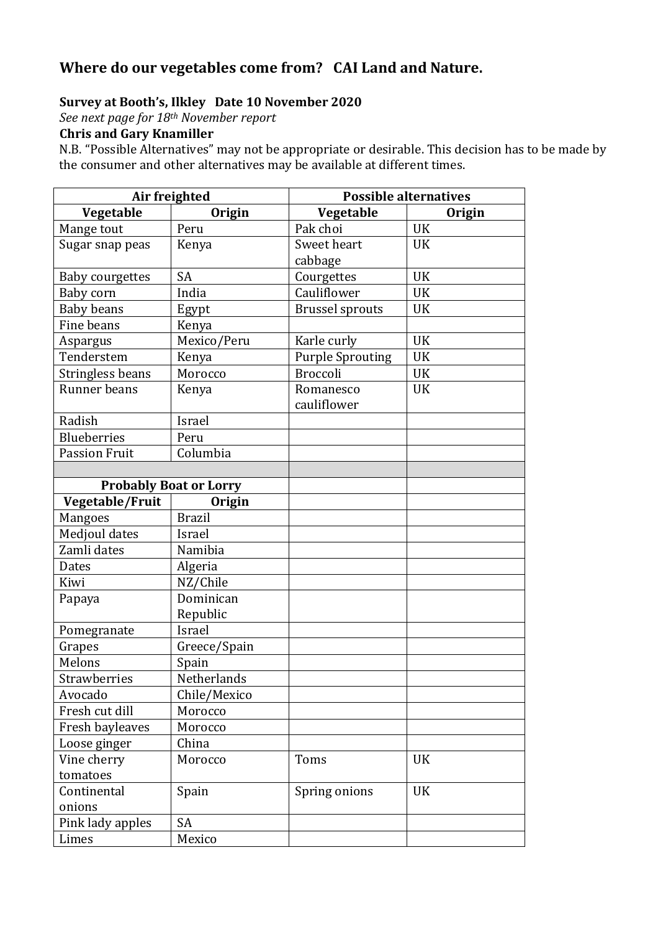## **Where do our vegetables come from? CAI Land and Nature.**

### **Survey at Booth's, Ilkley Date 10 November 2020**

*See next page for 18th November report*

### **Chris and Gary Knamiller**

N.B. "Possible Alternatives" may not be appropriate or desirable. This decision has to be made by the consumer and other alternatives may be available at different times.

| Air freighted        |                               |                         | <b>Possible alternatives</b> |  |
|----------------------|-------------------------------|-------------------------|------------------------------|--|
| Vegetable            | <b>Origin</b>                 | Vegetable               | Origin                       |  |
| Mange tout           | Peru                          | Pak choi                | <b>UK</b>                    |  |
| Sugar snap peas      | Kenya                         | Sweet heart             | <b>UK</b>                    |  |
|                      |                               | cabbage                 |                              |  |
| Baby courgettes      | <b>SA</b>                     | Courgettes              | <b>UK</b>                    |  |
| Baby corn            | India                         | Cauliflower             | <b>UK</b>                    |  |
| <b>Baby beans</b>    | Egypt                         | <b>Brussel sprouts</b>  | UK                           |  |
| Fine beans           | Kenya                         |                         |                              |  |
| Aspargus             | Mexico/Peru                   | Karle curly             | <b>UK</b>                    |  |
| Tenderstem           | Kenya                         | <b>Purple Sprouting</b> | <b>UK</b>                    |  |
| Stringless beans     | Morocco                       | <b>Broccoli</b>         | <b>UK</b>                    |  |
| Runner beans         | Kenya                         | Romanesco               | <b>UK</b>                    |  |
|                      |                               | cauliflower             |                              |  |
| Radish               | Israel                        |                         |                              |  |
| <b>Blueberries</b>   | Peru                          |                         |                              |  |
| <b>Passion Fruit</b> | Columbia                      |                         |                              |  |
|                      |                               |                         |                              |  |
|                      | <b>Probably Boat or Lorry</b> |                         |                              |  |
| Vegetable/Fruit      | Origin                        |                         |                              |  |
| <b>Mangoes</b>       | <b>Brazil</b>                 |                         |                              |  |
| Medjoul dates        | Israel                        |                         |                              |  |
| Zamli dates          | Namibia                       |                         |                              |  |
| Dates                | Algeria                       |                         |                              |  |
| Kiwi                 | NZ/Chile                      |                         |                              |  |
| Papaya               | Dominican                     |                         |                              |  |
|                      | Republic                      |                         |                              |  |
| Pomegranate          | Israel                        |                         |                              |  |
| Grapes               | Greece/Spain                  |                         |                              |  |
| Melons               | Spain                         |                         |                              |  |
| Strawberries         | Netherlands                   |                         |                              |  |
| Avocado              | Chile/Mexico                  |                         |                              |  |
| Fresh cut dill       | Morocco                       |                         |                              |  |
| Fresh bayleaves      | Morocco                       |                         |                              |  |
| Loose ginger         | China                         |                         |                              |  |
| Vine cherry          | Morocco                       | Toms                    | <b>UK</b>                    |  |
| tomatoes             |                               |                         |                              |  |
| Continental          | Spain                         | Spring onions           | <b>UK</b>                    |  |
| onions               |                               |                         |                              |  |
| Pink lady apples     | <b>SA</b>                     |                         |                              |  |
| Limes                | Mexico                        |                         |                              |  |